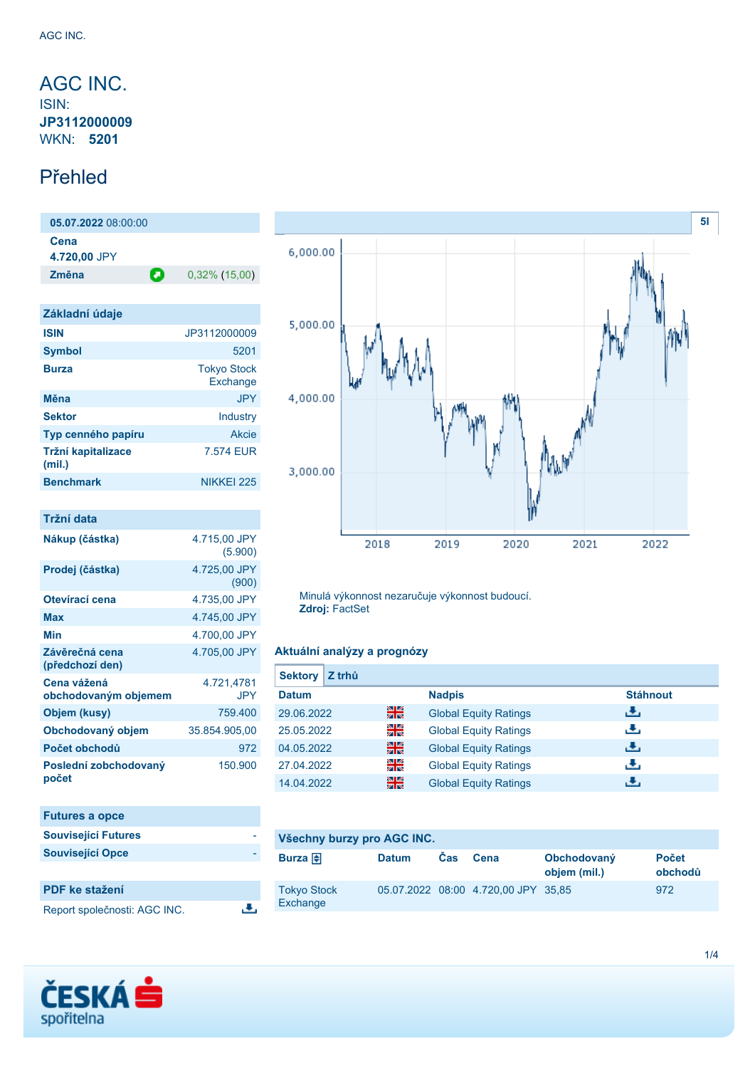# <span id="page-0-0"></span>AGC INC.

ISIN: **JP3112000009** WKN: **5201**

### Přehled

**05.07.2022** 08:00:00 **Cena 4.720,00** JPY **Změna** 0,32% (15,00)

| Základní údaje               |                                |
|------------------------------|--------------------------------|
| <b>ISIN</b>                  | JP3112000009                   |
| <b>Symbol</b>                | 5201                           |
| <b>Burza</b>                 | <b>Tokyo Stock</b><br>Exchange |
| Měna                         | <b>JPY</b>                     |
| <b>Sektor</b>                | Industry                       |
| Typ cenného papíru           | Akcie                          |
| Tržní kapitalizace<br>(mil.) | 7.574 EUR                      |
| <b>Benchmark</b>             | NIKKFI 225                     |

| Tržní data                          |                          |
|-------------------------------------|--------------------------|
| Nákup (částka)                      | 4.715,00 JPY<br>(5.900)  |
| Prodej (částka)                     | 4.725,00 JPY<br>(900)    |
| Otevírací cena                      | 4.735,00 JPY             |
| Max                                 | 4.745,00 JPY             |
| Min                                 | 4.700.00 JPY             |
| Závěrečná cena<br>(předchozí den)   | 4.705.00 JPY             |
| Cena vážená<br>obchodovaným objemem | 4.721,4781<br><b>JPY</b> |
| Objem (kusy)                        | 759,400                  |
| Obchodovaný objem                   | 35.854.905,00            |
| Počet obchodů                       | 972                      |
| Poslední zobchodovaný<br>počet      | 150.900                  |

| <b>Futures a opce</b>      |  |
|----------------------------|--|
| <b>Související Futures</b> |  |
| <b>Související Opce</b>    |  |
|                            |  |

| PDF ke stažení               |  |
|------------------------------|--|
| Report společnosti: AGC INC. |  |

區



Minulá výkonnost nezaručuje výkonnost budoucí. **Zdroj:** FactSet

### **Aktuální analýzy a prognózy**

| <b>Sektory</b><br>Z trhů |    |                              |                 |
|--------------------------|----|------------------------------|-----------------|
| <b>Datum</b>             |    | <b>Nadpis</b>                | <b>Stáhnout</b> |
| 29.06.2022               | 꾉쭎 | <b>Global Equity Ratings</b> | æ,              |
| 25.05.2022               | 꾉뚢 | <b>Global Equity Ratings</b> | رنان            |
| 04.05.2022               | 噐  | <b>Global Equity Ratings</b> | J.              |
| 27.04.2022               | 을  | <b>Global Equity Ratings</b> | رنان            |
| 14.04.2022               | 噐  | <b>Global Equity Ratings</b> | æ,              |

# **Všechny burzy pro AGC INC.**

| Burza $\bigoplus$              | <b>Datum</b> | <b>Cas</b> | Cena                                | Obchodovaný<br>objem (mil.) | <b>Počet</b><br>obchodů |
|--------------------------------|--------------|------------|-------------------------------------|-----------------------------|-------------------------|
| <b>Tokyo Stock</b><br>Exchange |              |            | 05.07.2022 08:00 4.720.00 JPY 35.85 |                             | 972                     |

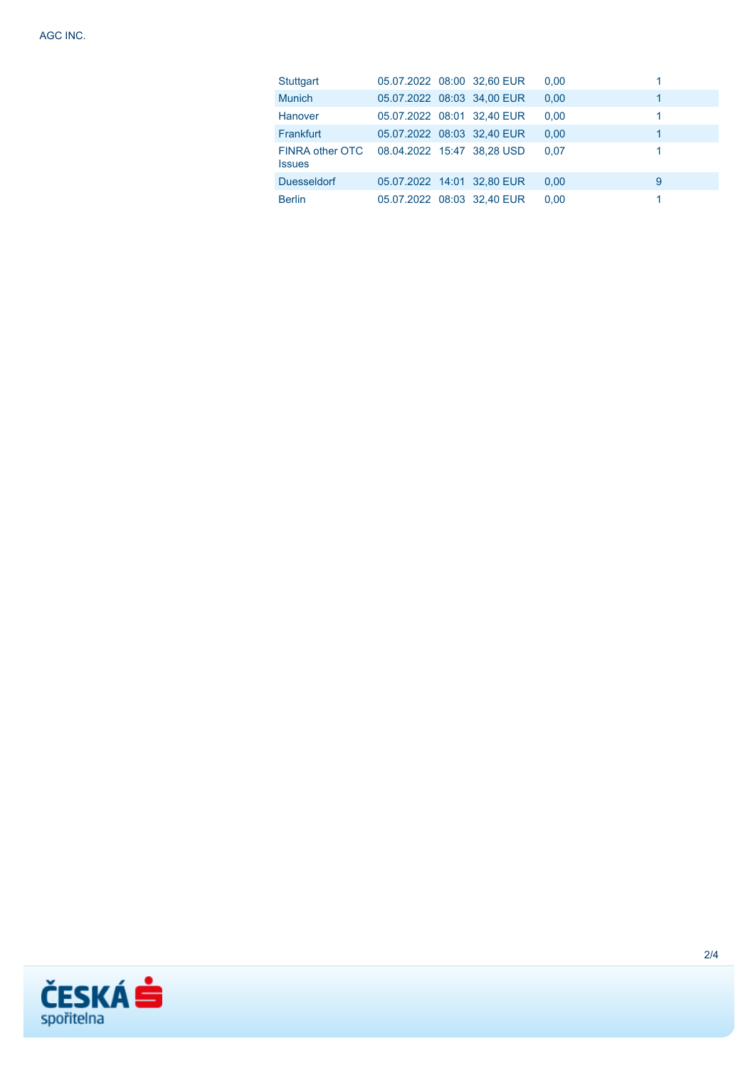| <b>Stuttgart</b>                 | 05.07.2022 08:00 32,60 EUR |  | 0,00 | 1 |
|----------------------------------|----------------------------|--|------|---|
| <b>Munich</b>                    | 05.07.2022 08:03 34,00 EUR |  | 0.00 | 1 |
| <b>Hanover</b>                   | 05.07.2022 08:01 32,40 EUR |  | 0.00 | 1 |
| Frankfurt                        | 05.07.2022 08:03 32,40 EUR |  | 0.00 | 1 |
| FINRA other OTC<br><b>Issues</b> | 08.04.2022 15:47 38,28 USD |  | 0.07 | 1 |
| <b>Duesseldorf</b>               | 05.07.2022 14:01 32,80 EUR |  | 0.00 | 9 |
| <b>Berlin</b>                    | 05.07.2022 08:03 32,40 EUR |  | 0,00 |   |

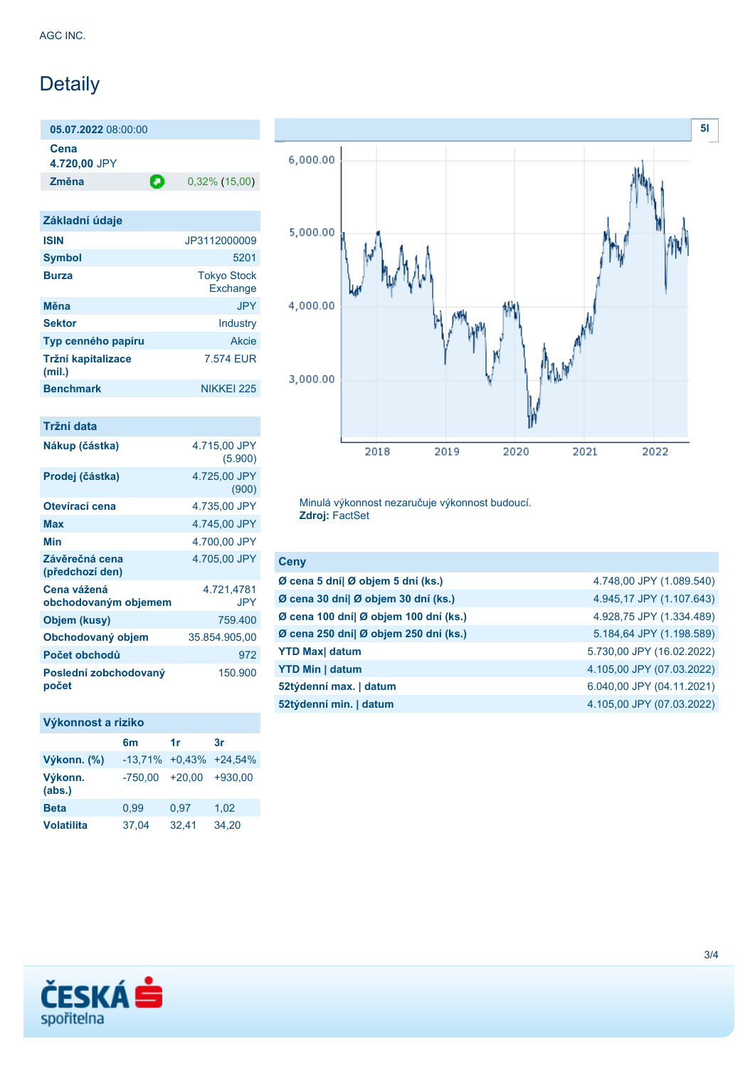# Detaily

**05.07.2022** 08:00:00 **Cena 4.720,00** JPY

**Změna** 0,32% (15,00)

| Základní údaje               |                                |
|------------------------------|--------------------------------|
| <b>ISIN</b>                  | JP3112000009                   |
| <b>Symbol</b>                | 5201                           |
| <b>Burza</b>                 | <b>Tokyo Stock</b><br>Exchange |
| Měna                         | <b>JPY</b>                     |
| <b>Sektor</b>                | Industry                       |
| Typ cenného papíru           | Akcie                          |
| Tržní kapitalizace<br>(mil.) | 7.574 EUR                      |
| <b>Benchmark</b>             | NIKKFI 225                     |

| Tržní data                          |                         |
|-------------------------------------|-------------------------|
| Nákup (částka)                      | 4.715,00 JPY<br>(5.900) |
| Prodej (částka)                     | 4.725,00 JPY<br>(900)   |
| Otevírací cena                      | 4.735,00 JPY            |
| <b>Max</b>                          | 4.745,00 JPY            |
| Min                                 | 4.700.00 JPY            |
| Závěrečná cena<br>(předchozí den)   | 4.705,00 JPY            |
| Cena vážená<br>obchodovaným objemem | 4.721,4781<br>JPY       |
| Objem (kusy)                        | 759,400                 |
| Obchodovaný objem                   | 35.854.905,00           |
| Počet obchodů                       | 972                     |
| Poslední zobchodovaný<br>počet      | 150.900                 |

### **Výkonnost a riziko**

|                   | 6 <sub>m</sub>              | 1r       | 3r        |
|-------------------|-----------------------------|----------|-----------|
| Výkonn. (%)       | $-13,71\% +0.43\% +24.54\%$ |          |           |
| Výkonn.<br>(abs.) | $-750.00$                   | $+20.00$ | $+930.00$ |
| <b>Beta</b>       | 0.99                        | 0.97     | 1,02      |
| <b>Volatilita</b> | 37,04                       | 32,41    | 34,20     |



Minulá výkonnost nezaručuje výkonnost budoucí. **Zdroj:** FactSet

| <b>Ceny</b>                           |                           |
|---------------------------------------|---------------------------|
| Ø cena 5 dní  Ø objem 5 dní (ks.)     | 4.748,00 JPY (1.089.540)  |
| Ø cena 30 dní  Ø objem 30 dní (ks.)   | 4.945,17 JPY (1.107.643)  |
| Ø cena 100 dní  Ø objem 100 dní (ks.) | 4.928,75 JPY (1.334.489)  |
| Ø cena 250 dní  Ø objem 250 dní (ks.) | 5.184,64 JPY (1.198.589)  |
| <b>YTD Max</b> datum                  | 5.730,00 JPY (16.02.2022) |
| <b>YTD Min   datum</b>                | 4.105,00 JPY (07.03.2022) |
| 52týdenní max.   datum                | 6.040,00 JPY (04.11.2021) |
| 52týdenní min.   datum                | 4.105,00 JPY (07.03.2022) |
|                                       |                           |